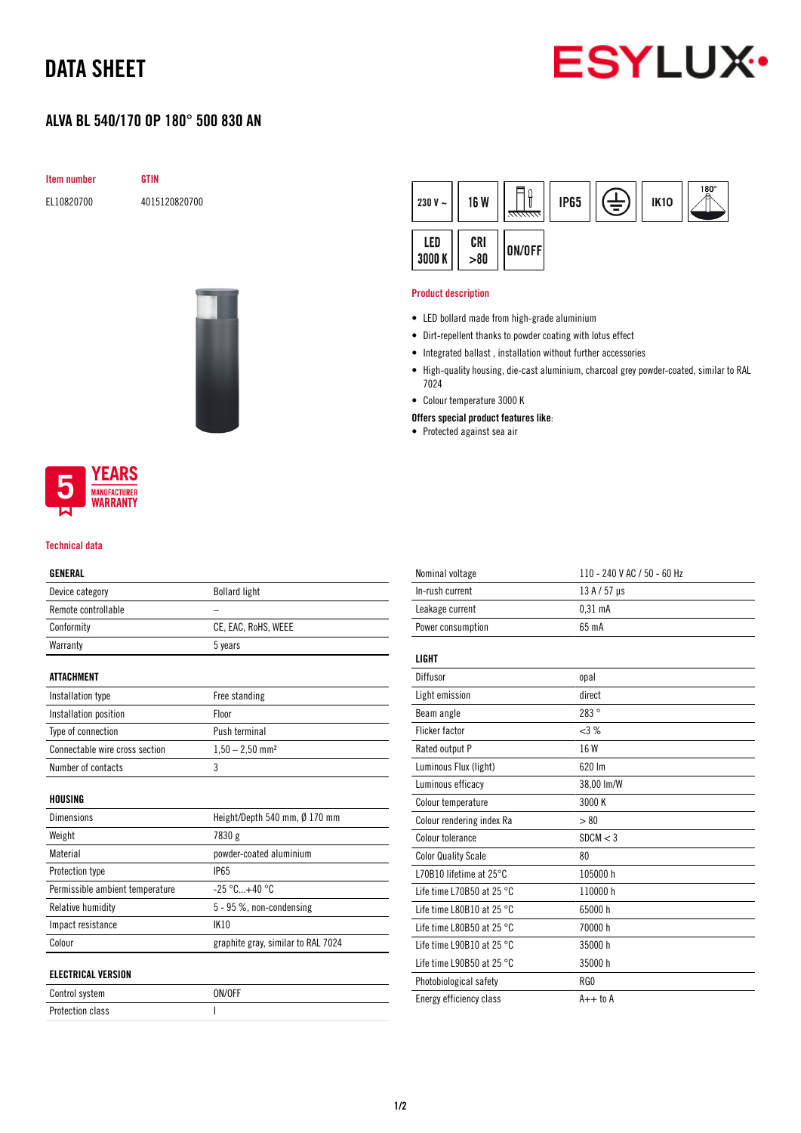# DATA SHEET



### ALVA BL 540/170 OP 180° 500 830 AN

**GTIN** 

|  | Item number |
|--|-------------|
|--|-------------|

EL10820700 4015120820700



#### 180 ון  $\widehat{\exists}$ **IP65** 230 V  $\sim$ **16 W IK10** LED CRI ON/OFF 3000 K  $> 80$

#### Product description

- LED bollard made from high-grade aluminium
- Dirt-repellent thanks to powder coating with lotus effect
- Integrated ballast , installation without further accessories
- High-quality housing, die-cast aluminium, charcoal grey powder-coated, similar to RAL 7024
- Colour temperature 3000 K
- Offers special product features like:
- Protected against sea air



#### Technical data

### GENERAL

| Device category                 | <b>Bollard light</b>               |
|---------------------------------|------------------------------------|
| Remote controllable             |                                    |
| Conformity                      | CE, EAC, RoHS, WEEE                |
| Warranty                        | 5 years                            |
|                                 |                                    |
| <b>ATTACHMENT</b>               |                                    |
| Installation type               | Free standing                      |
| Installation position           | Floor                              |
| Type of connection              | Push terminal                      |
| Connectable wire cross section  | $1,50 - 2,50$ mm <sup>2</sup>      |
| Number of contacts              | 3                                  |
|                                 |                                    |
| HOUSING                         |                                    |
| <b>Dimensions</b>               | Height/Depth 540 mm, Ø 170 mm      |
| Weight                          | 7830 g                             |
| Material                        | powder-coated aluminium            |
| Protection type                 | <b>IP65</b>                        |
| Permissible ambient temperature | $-25 °C+40 °C$                     |
| Relative humidity               | 5 - 95 %, non-condensing           |
| Impact resistance               | <b>IK10</b>                        |
| Colour                          | graphite gray, similar to RAL 7024 |
|                                 |                                    |
| <b>ELECTRICAL VERSION</b>       |                                    |
| Control system                  | ON/OFF                             |
| <b>Protection class</b>         | L                                  |

| Nominal voltage                     | 110 - 240 V AC / 50 - 60 Hz |
|-------------------------------------|-----------------------------|
| In-rush current                     | $13A/57$ µs                 |
| Leakage current                     | $0.31$ mA                   |
| Power consumption                   | 65 mA                       |
| LIGHT                               |                             |
| Diffusor                            | opal                        |
| Light emission                      | direct                      |
| Beam angle                          | 283°                        |
| <b>Flicker factor</b>               | <3%                         |
| Rated output P                      | 16 W                        |
| Luminous Flux (light)               | 620 lm                      |
| Luminous efficacy                   | 38,00 lm/W                  |
| Colour temperature                  | 3000 K                      |
| Colour rendering index Ra           | > 80                        |
| Colour tolerance                    | SDCM < 3                    |
| <b>Color Quality Scale</b>          | 80                          |
| L70B10 lifetime at 25°C             | 105000 h                    |
| Life time L70B50 at 25 $^{\circ}$ C | 110000h                     |
| Life time L80B10 at 25 $^{\circ}$ C | 65000h                      |
| Life time L80B50 at 25 $^{\circ}$ C | 70000 h                     |
| Life time L90B10 at 25 $^{\circ}$ C | 35000h                      |
| Life time L90B50 at 25 $^{\circ}$ C | 35000h                      |
| Photobiological safety              | RG0                         |
| Energy efficiency class             | $A++$ to $A$                |
|                                     |                             |